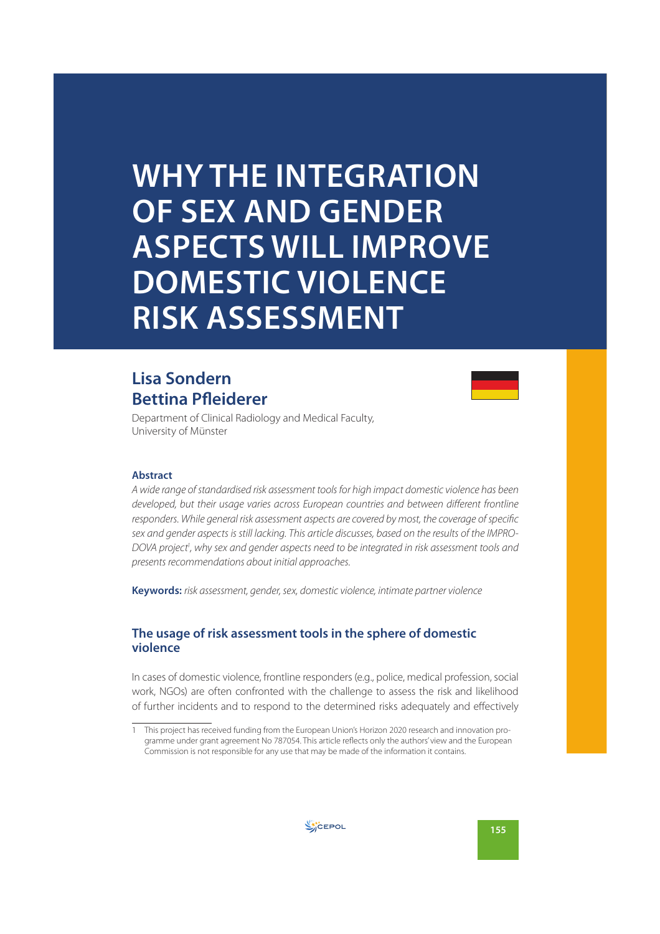# **WHY THE INTEGRATION OF SEX AND GENDER ASPECTS WILL IMPROVE DOMESTIC VIOLENCE RISK ASSESSMENT**

# **Lisa Sondern Bettina Pfleiderer**



Department of Clinical Radiology and Medical Faculty, University of Münster

#### **Abstract**

A wide range of standardised risk assessment tools for high impact domestic violence has been developed, but their usage varies across European countries and between different frontline responders. While general risk assessment aspects are covered by most, the coverage of specific sex and gender aspects is still lacking. This article discusses, based on the results of the IMPRO-DOVA project<sup>1</sup>, why sex and gender aspects need to be integrated in risk assessment tools and presents recommendations about initial approaches.

**Keywords:** risk assessment, gender, sex, domestic violence, intimate partner violence

#### **The usage of risk assessment tools in the sphere of domestic violence**

In cases of domestic violence, frontline responders (e.g., police, medical profession, social work, NGOs) are often confronted with the challenge to assess the risk and likelihood of further incidents and to respond to the determined risks adequately and effectively



<sup>1</sup> This project has received funding from the European Union's Horizon 2020 research and innovation programme under grant agreement No 787054. This article reflects only the authors' view and the European Commission is not responsible for any use that may be made of the information it contains.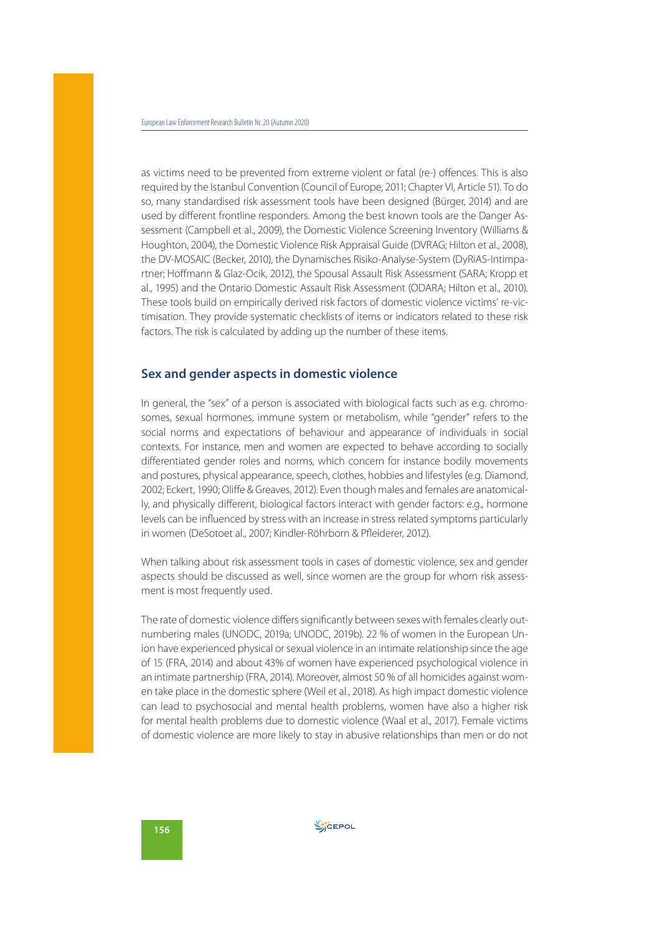as victims need to be prevented from extreme violent or fatal (re-) offences. This is also required by the Istanbul Convention (Council of Europe, 2011; Chapter VI, Article 51). To do so, many standardised risk assessment tools have been designed (Bürger, 2014) and are used by different frontline responders. Among the best known tools are the Danger Assessment (Campbell et al., 2009), the Domestic Violence Screening Inventory (Williams & Houghton, 2004), the Domestic Violence Risk Appraisal Guide (DVRAG; Hilton et al., 2008), the DV-MOSAIC (Becker, 2010), the Dynamisches Risiko-Analyse-System (DyRiAS-Intimpartner; Hoffmann & Glaz-Ocik, 2012), the Spousal Assault Risk Assessment (SARA; Kropp et al., 1995) and the Ontario Domestic Assault Risk Assessment (ODARA; Hilton et al., 2010). These tools build on empirically derived risk factors of domestic violence victims' re-victimisation. They provide systematic checklists of items or indicators related to these risk factors. The risk is calculated by adding up the number of these items.

#### **Sex and gender aspects in domestic violence**

In general, the "sex" of a person is associated with biological facts such as e.g. chromosomes, sexual hormones, immune system or metabolism, while "gender" refers to the social norms and expectations of behaviour and appearance of individuals in social contexts. For instance, men and women are expected to behave according to socially differentiated gender roles and norms, which concern for instance bodily movements and postures, physical appearance, speech, clothes, hobbies and lifestyles (e.g. Diamond, 2002; Eckert, 1990; Oliffe & Greaves, 2012). Even though males and females are anatomically, and physically different, biological factors interact with gender factors: e.g., hormone levels can be influenced by stress with an increase in stress related symptoms particularly in women (DeSotoet al., 2007; Kindler-Röhrborn & Pfleiderer, 2012).

When talking about risk assessment tools in cases of domestic violence, sex and gender aspects should be discussed as well, since women are the group for whom risk assessment is most frequently used.

The rate of domestic violence differs significantly between sexes with females clearly outnumbering males (UNODC, 2019a; UNODC, 2019b). 22 % of women in the European Union have experienced physical or sexual violence in an intimate relationship since the age of 15 (FRA, 2014) and about 43% of women have experienced psychological violence in an intimate partnership (FRA, 2014). Moreover, almost 50 % of all homicides against women take place in the domestic sphere (Weil et al., 2018). As high impact domestic violence can lead to psychosocial and mental health problems, women have also a higher risk for mental health problems due to domestic violence (Waal et al., 2017). Female victims of domestic violence are more likely to stay in abusive relationships than men or do not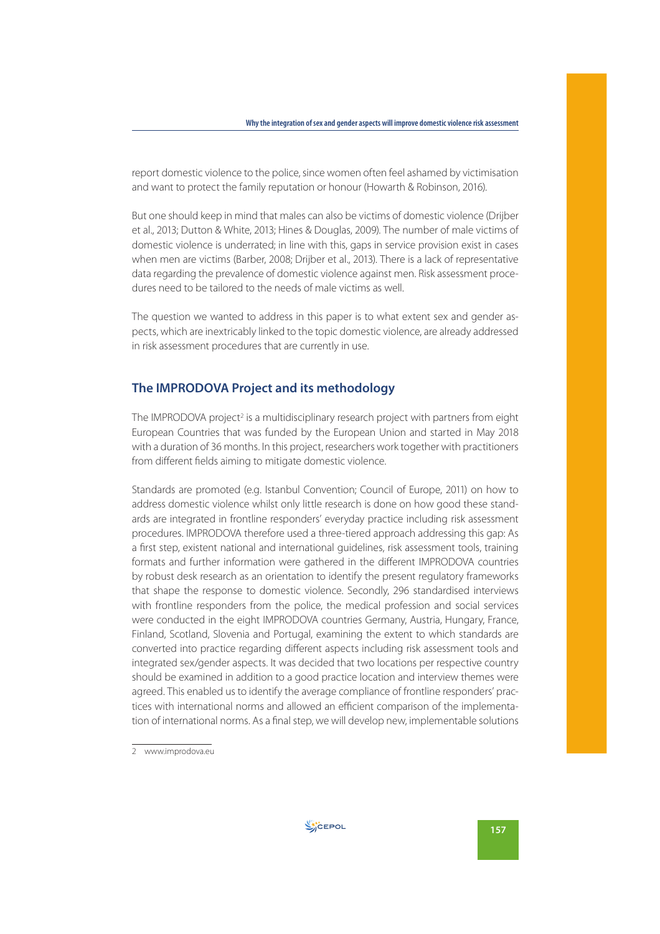report domestic violence to the police, since women often feel ashamed by victimisation and want to protect the family reputation or honour (Howarth & Robinson, 2016).

But one should keep in mind that males can also be victims of domestic violence (Drijber et al., 2013; Dutton & White, 2013; Hines & Douglas, 2009). The number of male victims of domestic violence is underrated; in line with this, gaps in service provision exist in cases when men are victims (Barber, 2008; Drijber et al., 2013). There is a lack of representative data regarding the prevalence of domestic violence against men. Risk assessment procedures need to be tailored to the needs of male victims as well.

The question we wanted to address in this paper is to what extent sex and gender aspects, which are inextricably linked to the topic domestic violence, are already addressed in risk assessment procedures that are currently in use.

### **The IMPRODOVA Project and its methodology**

The IMPRODOVA project<sup>2</sup> is a multidisciplinary research project with partners from eight European Countries that was funded by the European Union and started in May 2018 with a duration of 36 months. In this project, researchers work together with practitioners from different fields aiming to mitigate domestic violence.

Standards are promoted (e.g. Istanbul Convention; Council of Europe, 2011) on how to address domestic violence whilst only little research is done on how good these standards are integrated in frontline responders' everyday practice including risk assessment procedures. IMPRODOVA therefore used a three-tiered approach addressing this gap: As a first step, existent national and international guidelines, risk assessment tools, training formats and further information were gathered in the different IMPRODOVA countries by robust desk research as an orientation to identify the present regulatory frameworks that shape the response to domestic violence. Secondly, 296 standardised interviews with frontline responders from the police, the medical profession and social services were conducted in the eight IMPRODOVA countries Germany, Austria, Hungary, France, Finland, Scotland, Slovenia and Portugal, examining the extent to which standards are converted into practice regarding different aspects including risk assessment tools and integrated sex/gender aspects. It was decided that two locations per respective country should be examined in addition to a good practice location and interview themes were agreed. This enabled us to identify the average compliance of frontline responders' practices with international norms and allowed an efficient comparison of the implementation of international norms. As a final step, we will develop new, implementable solutions



<sup>2</sup> www.improdova.eu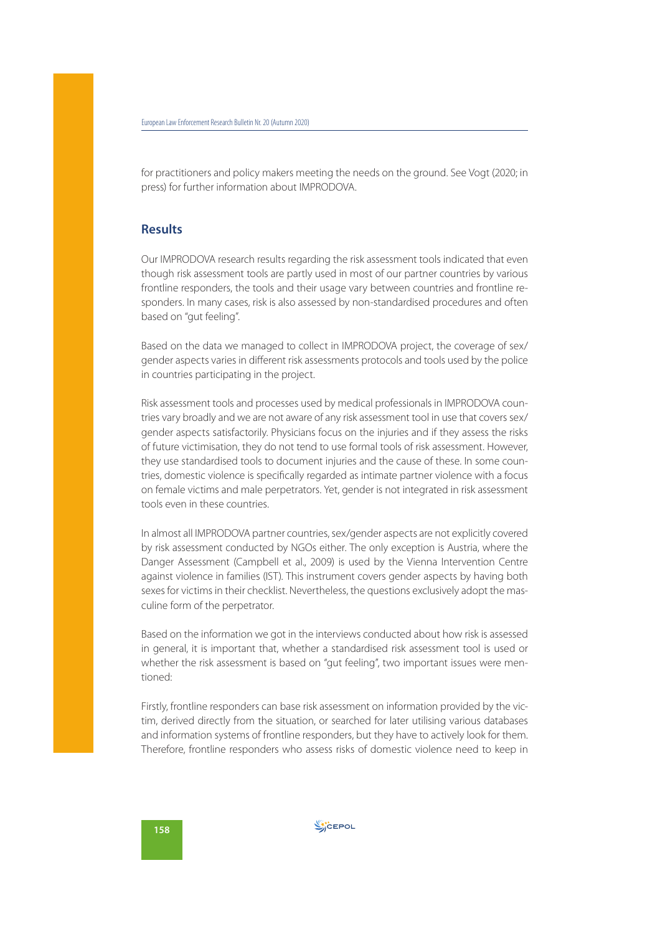for practitioners and policy makers meeting the needs on the ground. See Vogt (2020; in press) for further information about IMPRODOVA.

#### **Results**

Our IMPRODOVA research results regarding the risk assessment tools indicated that even though risk assessment tools are partly used in most of our partner countries by various frontline responders, the tools and their usage vary between countries and frontline responders. In many cases, risk is also assessed by non-standardised procedures and often based on "gut feeling".

Based on the data we managed to collect in IMPRODOVA project, the coverage of sex/ gender aspects varies in different risk assessments protocols and tools used by the police in countries participating in the project.

Risk assessment tools and processes used by medical professionals in IMPRODOVA countries vary broadly and we are not aware of any risk assessment tool in use that covers sex/ gender aspects satisfactorily. Physicians focus on the injuries and if they assess the risks of future victimisation, they do not tend to use formal tools of risk assessment. However, they use standardised tools to document injuries and the cause of these. In some countries, domestic violence is specifically regarded as intimate partner violence with a focus on female victims and male perpetrators. Yet, gender is not integrated in risk assessment tools even in these countries.

In almost all IMPRODOVA partner countries, sex/gender aspects are not explicitly covered by risk assessment conducted by NGOs either. The only exception is Austria, where the Danger Assessment (Campbell et al., 2009) is used by the Vienna Intervention Centre against violence in families (IST). This instrument covers gender aspects by having both sexes for victims in their checklist. Nevertheless, the questions exclusively adopt the masculine form of the perpetrator.

Based on the information we got in the interviews conducted about how risk is assessed in general, it is important that, whether a standardised risk assessment tool is used or whether the risk assessment is based on "gut feeling", two important issues were mentioned:

Firstly, frontline responders can base risk assessment on information provided by the victim, derived directly from the situation, or searched for later utilising various databases and information systems of frontline responders, but they have to actively look for them. Therefore, frontline responders who assess risks of domestic violence need to keep in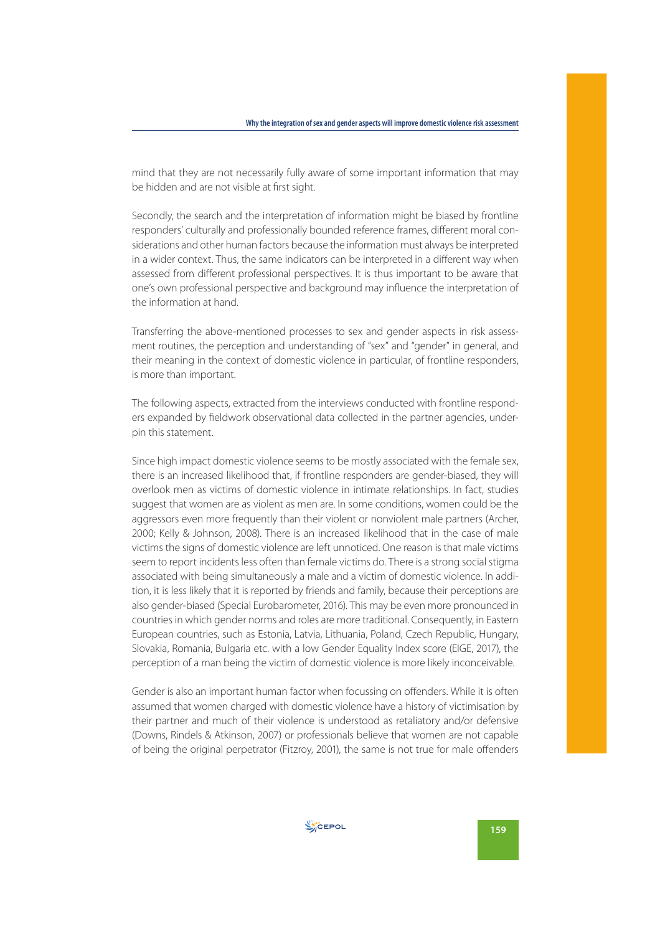mind that they are not necessarily fully aware of some important information that may be hidden and are not visible at first sight.

Secondly, the search and the interpretation of information might be biased by frontline responders' culturally and professionally bounded reference frames, different moral considerations and other human factors because the information must always be interpreted in a wider context. Thus, the same indicators can be interpreted in a different way when assessed from different professional perspectives. It is thus important to be aware that one's own professional perspective and background may influence the interpretation of the information at hand.

Transferring the above-mentioned processes to sex and gender aspects in risk assessment routines, the perception and understanding of "sex" and "gender" in general, and their meaning in the context of domestic violence in particular, of frontline responders, is more than important.

The following aspects, extracted from the interviews conducted with frontline responders expanded by fieldwork observational data collected in the partner agencies, underpin this statement.

Since high impact domestic violence seems to be mostly associated with the female sex, there is an increased likelihood that, if frontline responders are gender-biased, they will overlook men as victims of domestic violence in intimate relationships. In fact, studies suggest that women are as violent as men are. In some conditions, women could be the aggressors even more frequently than their violent or nonviolent male partners (Archer, 2000; Kelly & Johnson, 2008). There is an increased likelihood that in the case of male victims the signs of domestic violence are left unnoticed. One reason is that male victims seem to report incidents less often than female victims do. There is a strong social stigma associated with being simultaneously a male and a victim of domestic violence. In addition, it is less likely that it is reported by friends and family, because their perceptions are also gender-biased (Special Eurobarometer, 2016). This may be even more pronounced in countries in which gender norms and roles are more traditional. Consequently, in Eastern European countries, such as Estonia, Latvia, Lithuania, Poland, Czech Republic, Hungary, Slovakia, Romania, Bulgaria etc. with a low Gender Equality Index score (EIGE, 2017), the perception of a man being the victim of domestic violence is more likely inconceivable.

Gender is also an important human factor when focussing on offenders. While it is often assumed that women charged with domestic violence have a history of victimisation by their partner and much of their violence is understood as retaliatory and/or defensive (Downs, Rindels & Atkinson, 2007) or professionals believe that women are not capable of being the original perpetrator (Fitzroy, 2001), the same is not true for male offenders

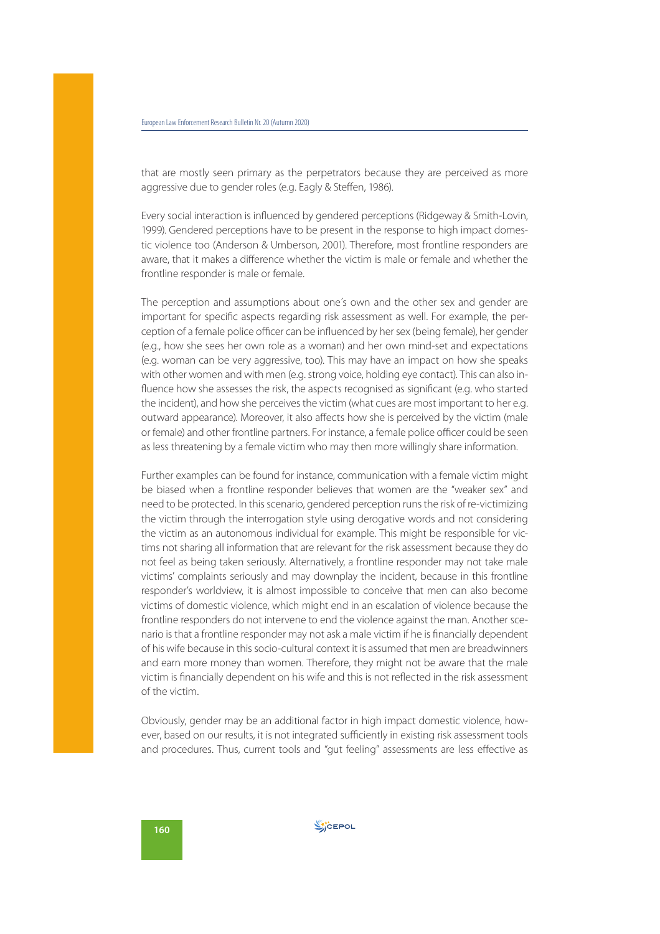that are mostly seen primary as the perpetrators because they are perceived as more aggressive due to gender roles (e.g. Eagly & Steffen, 1986).

Every social interaction is influenced by gendered perceptions (Ridgeway & Smith-Lovin, 1999). Gendered perceptions have to be present in the response to high impact domestic violence too (Anderson & Umberson, 2001). Therefore, most frontline responders are aware, that it makes a difference whether the victim is male or female and whether the frontline responder is male or female.

The perception and assumptions about one´s own and the other sex and gender are important for specific aspects regarding risk assessment as well. For example, the perception of a female police officer can be influenced by her sex (being female), her gender (e.g., how she sees her own role as a woman) and her own mind-set and expectations (e.g. woman can be very aggressive, too). This may have an impact on how she speaks with other women and with men (e.g. strong voice, holding eye contact). This can also influence how she assesses the risk, the aspects recognised as significant (e.g. who started the incident), and how she perceives the victim (what cues are most important to her e.g. outward appearance). Moreover, it also affects how she is perceived by the victim (male or female) and other frontline partners. For instance, a female police officer could be seen as less threatening by a female victim who may then more willingly share information.

Further examples can be found for instance, communication with a female victim might be biased when a frontline responder believes that women are the "weaker sex" and need to be protected. In this scenario, gendered perception runs the risk of re-victimizing the victim through the interrogation style using derogative words and not considering the victim as an autonomous individual for example. This might be responsible for victims not sharing all information that are relevant for the risk assessment because they do not feel as being taken seriously. Alternatively, a frontline responder may not take male victims' complaints seriously and may downplay the incident, because in this frontline responder's worldview, it is almost impossible to conceive that men can also become victims of domestic violence, which might end in an escalation of violence because the frontline responders do not intervene to end the violence against the man. Another scenario is that a frontline responder may not ask a male victim if he is financially dependent of his wife because in this socio-cultural context it is assumed that men are breadwinners and earn more money than women. Therefore, they might not be aware that the male victim is financially dependent on his wife and this is not reflected in the risk assessment of the victim.

Obviously, gender may be an additional factor in high impact domestic violence, however, based on our results, it is not integrated sufficiently in existing risk assessment tools and procedures. Thus, current tools and "gut feeling" assessments are less effective as

**WICEPOL**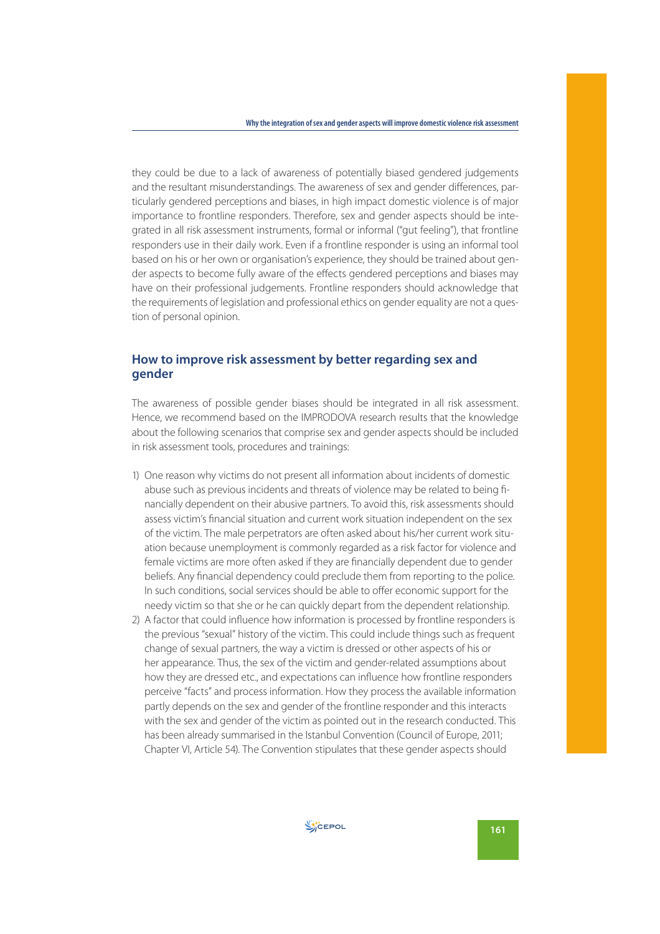they could be due to a lack of awareness of potentially biased gendered judgements and the resultant misunderstandings. The awareness of sex and gender differences, particularly gendered perceptions and biases, in high impact domestic violence is of major importance to frontline responders. Therefore, sex and gender aspects should be integrated in all risk assessment instruments, formal or informal ("gut feeling"), that frontline responders use in their daily work. Even if a frontline responder is using an informal tool based on his or her own or organisation's experience, they should be trained about gender aspects to become fully aware of the effects gendered perceptions and biases may have on their professional judgements. Frontline responders should acknowledge that the requirements of legislation and professional ethics on gender equality are not a question of personal opinion.

### **How to improve risk assessment by better regarding sex and gender**

The awareness of possible gender biases should be integrated in all risk assessment. Hence, we recommend based on the IMPRODOVA research results that the knowledge about the following scenarios that comprise sex and gender aspects should be included in risk assessment tools, procedures and trainings:

- 1) One reason why victims do not present all information about incidents of domestic abuse such as previous incidents and threats of violence may be related to being financially dependent on their abusive partners. To avoid this, risk assessments should assess victim's financial situation and current work situation independent on the sex of the victim. The male perpetrators are often asked about his/her current work situation because unemployment is commonly regarded as a risk factor for violence and female victims are more often asked if they are financially dependent due to gender beliefs. Any financial dependency could preclude them from reporting to the police. In such conditions, social services should be able to offer economic support for the needy victim so that she or he can quickly depart from the dependent relationship.
- 2) A factor that could influence how information is processed by frontline responders is the previous "sexual" history of the victim. This could include things such as frequent change of sexual partners, the way a victim is dressed or other aspects of his or her appearance. Thus, the sex of the victim and gender-related assumptions about how they are dressed etc., and expectations can influence how frontline responders perceive "facts" and process information. How they process the available information partly depends on the sex and gender of the frontline responder and this interacts with the sex and gender of the victim as pointed out in the research conducted. This has been already summarised in the Istanbul Convention (Council of Europe, 2011; Chapter VI, Article 54). The Convention stipulates that these gender aspects should

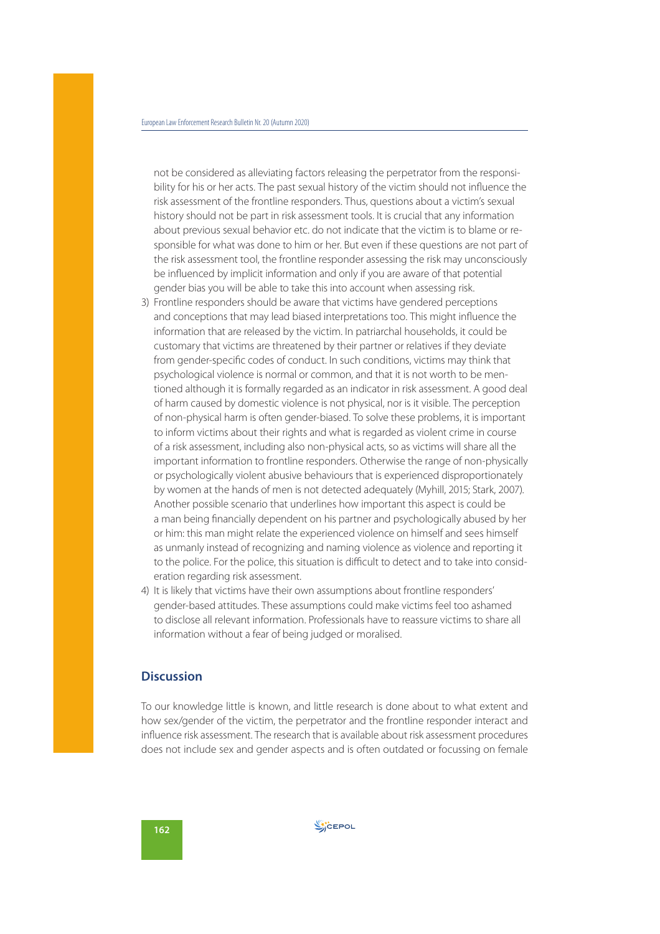not be considered as alleviating factors releasing the perpetrator from the responsibility for his or her acts. The past sexual history of the victim should not influence the risk assessment of the frontline responders. Thus, questions about a victim's sexual history should not be part in risk assessment tools. It is crucial that any information about previous sexual behavior etc. do not indicate that the victim is to blame or responsible for what was done to him or her. But even if these questions are not part of the risk assessment tool, the frontline responder assessing the risk may unconsciously be influenced by implicit information and only if you are aware of that potential gender bias you will be able to take this into account when assessing risk.

- 3) Frontline responders should be aware that victims have gendered perceptions and conceptions that may lead biased interpretations too. This might influence the information that are released by the victim. In patriarchal households, it could be customary that victims are threatened by their partner or relatives if they deviate from gender-specific codes of conduct. In such conditions, victims may think that psychological violence is normal or common, and that it is not worth to be mentioned although it is formally regarded as an indicator in risk assessment. A good deal of harm caused by domestic violence is not physical, nor is it visible. The perception of non-physical harm is often gender-biased. To solve these problems, it is important to inform victims about their rights and what is regarded as violent crime in course of a risk assessment, including also non-physical acts, so as victims will share all the important information to frontline responders. Otherwise the range of non-physically or psychologically violent abusive behaviours that is experienced disproportionately by women at the hands of men is not detected adequately (Myhill, 2015; Stark, 2007). Another possible scenario that underlines how important this aspect is could be a man being financially dependent on his partner and psychologically abused by her or him: this man might relate the experienced violence on himself and sees himself as unmanly instead of recognizing and naming violence as violence and reporting it to the police. For the police, this situation is difficult to detect and to take into consideration regarding risk assessment.
- 4) It is likely that victims have their own assumptions about frontline responders' gender-based attitudes. These assumptions could make victims feel too ashamed to disclose all relevant information. Professionals have to reassure victims to share all information without a fear of being judged or moralised.

### **Discussion**

To our knowledge little is known, and little research is done about to what extent and how sex/gender of the victim, the perpetrator and the frontline responder interact and influence risk assessment. The research that is available about risk assessment procedures does not include sex and gender aspects and is often outdated or focussing on female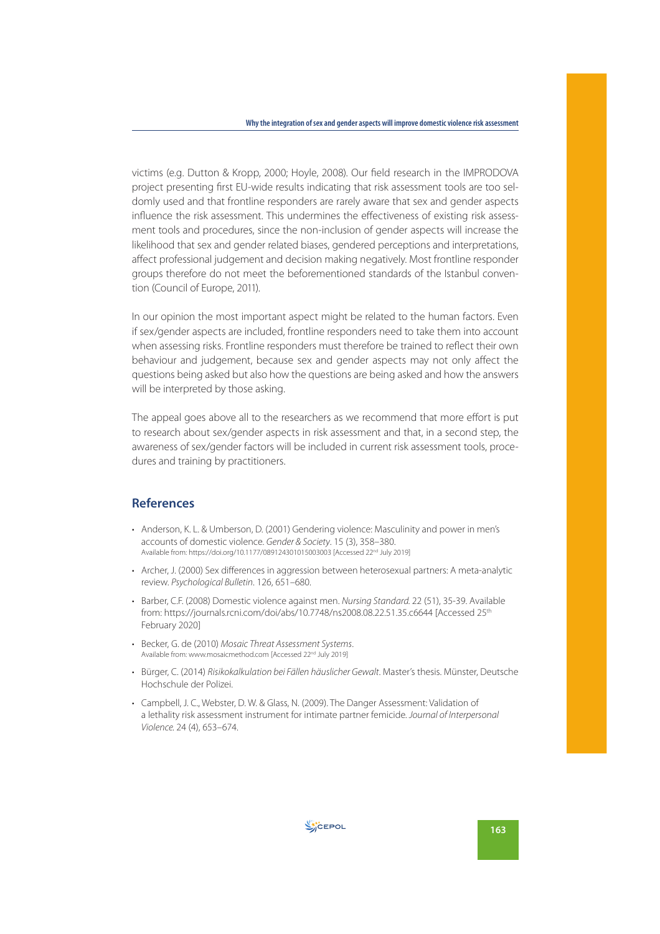victims (e.g. Dutton & Kropp, 2000; Hoyle, 2008). Our field research in the IMPRODOVA project presenting first EU-wide results indicating that risk assessment tools are too seldomly used and that frontline responders are rarely aware that sex and gender aspects influence the risk assessment. This undermines the effectiveness of existing risk assessment tools and procedures, since the non-inclusion of gender aspects will increase the likelihood that sex and gender related biases, gendered perceptions and interpretations, affect professional judgement and decision making negatively. Most frontline responder groups therefore do not meet the beforementioned standards of the Istanbul convention (Council of Europe, 2011).

In our opinion the most important aspect might be related to the human factors. Even if sex/gender aspects are included, frontline responders need to take them into account when assessing risks. Frontline responders must therefore be trained to reflect their own behaviour and judgement, because sex and gender aspects may not only affect the questions being asked but also how the questions are being asked and how the answers will be interpreted by those asking.

The appeal goes above all to the researchers as we recommend that more effort is put to research about sex/gender aspects in risk assessment and that, in a second step, the awareness of sex/gender factors will be included in current risk assessment tools, procedures and training by practitioners.

## **References**

- Anderson, K. L. & Umberson, D. (2001) Gendering violence: Masculinity and power in men's accounts of domestic violence. Gender & Society. 15 (3), 358–380. Available from: https://doi.org/10.1177/089124301015003003 [Accessed 22nd July 2019]
- Archer, J. (2000) Sex differences in aggression between heterosexual partners: A meta-analytic review. Psychological Bulletin. 126, 651–680.
- Barber, C.F. (2008) Domestic violence against men. Nursing Standard. 22 (51), 35-39. Available from: https://journals.rcni.com/doi/abs/10.7748/ns2008.08.22.51.35.c6644 [Accessed 25th February 2020]
- Becker, G. de (2010) Mosaic Threat Assessment Systems. Available from: www.mosaicmethod.com [Accessed 22<sup>nd</sup> July 2019]
- Bürger, C. (2014) Risikokalkulation bei Fällen häuslicher Gewalt. Master's thesis. Münster, Deutsche Hochschule der Polizei.
- Campbell, J. C., Webster, D. W. & Glass, N. (2009). The Danger Assessment: Validation of a lethality risk assessment instrument for intimate partner femicide. Journal of Interpersonal Violence. 24 (4), 653–674.

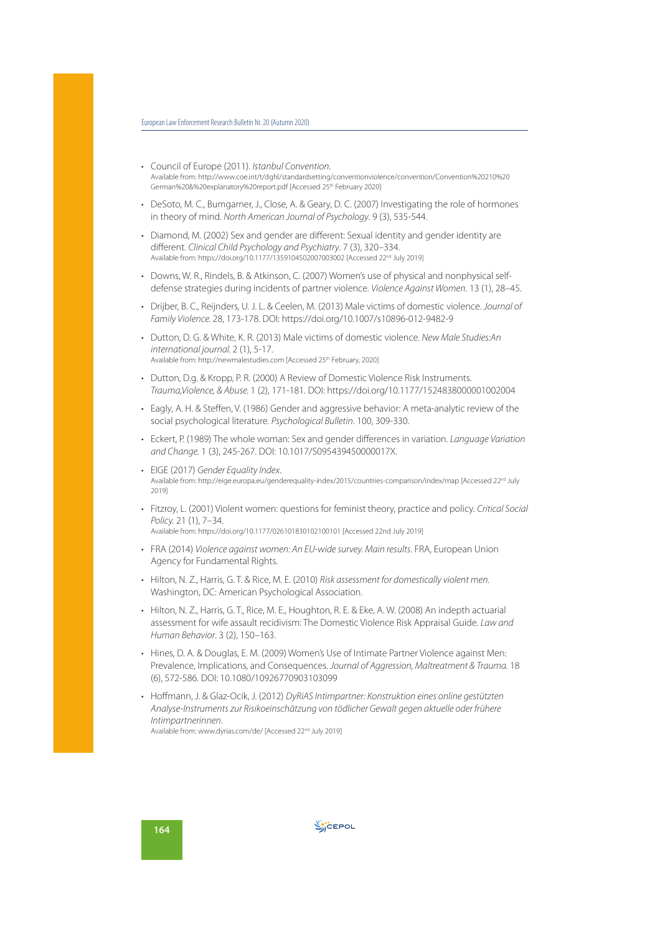- Council of Europe (2011). Istanbul Convention. Available from: http://www.coe.int/t/dghl/standardsetting/conventionviolence/convention/Convention%20210%20 German%20&%20explanatory%20report.pdf [Accessed 25th February 2020]
- DeSoto, M. C., Bumgarner, J., Close, A. & Geary, D. C. (2007) Investigating the role of hormones in theory of mind. North American Journal of Psychology. 9 (3), 535-544.
- Diamond, M. (2002) Sex and gender are different: Sexual identity and gender identity are different. Clinical Child Psychology and Psychiatry. 7 (3), 320–334. Available from: https://doi.org/10.1177/1359104502007003002 [Accessed 22nd July 2019]
- Downs, W. R., Rindels, B. & Atkinson, C. (2007) Women's use of physical and nonphysical selfdefense strategies during incidents of partner violence. Violence Against Women. 13 (1), 28–45.
- Drijber, B. C., Reijnders, U. J. L. & Ceelen, M. (2013) Male victims of domestic violence. Journal of Family Violence. 28, 173-178. DOI: https://doi.org/10.1007/s10896-012-9482-9
- Dutton, D. G. & White, K. R. (2013) Male victims of domestic violence. New Male Studies:An international journal. 2 (1), 5-17. Available from: http://newmalestudies.com [Accessed 25<sup>th</sup> February, 2020]
- Dutton, D.g. & Kropp, P. R. (2000) A Review of Domestic Violence Risk Instruments. Trauma,Violence, & Abuse. 1 (2), 171-181. DOI: https://doi.org/10.1177/1524838000001002004
- Eagly, A. H. & Steffen, V. (1986) Gender and aggressive behavior: A meta-analytic review of the social psychological literature. Psychological Bulletin. 100, 309-330.
- Eckert, P. (1989) The whole woman: Sex and gender differences in variation. Language Variation and Change. 1 (3), 245-267. DOI: 10.1017/S095439450000017X.
- EIGE (2017) Gender Equality Index. Available from: http://eige.europa.eu/genderequality-index/2015/countries-comparison/index/map [Accessed 22<sup>nd</sup> July 2019]
- Fitzroy, L. (2001) Violent women: questions for feminist theory, practice and policy. Critical Social Policy. 21 (1), 7–34.

Available from: https://doi.org/10.1177/026101830102100101 [Accessed 22nd July 2019]

- FRA (2014) Violence against women: An EU-wide survey. Main results. FRA, European Union Agency for Fundamental Rights.
- Hilton, N. Z., Harris, G. T. & Rice, M. E. (2010) Risk assessment for domestically violent men. Washington, DC: American Psychological Association.
- Hilton, N. Z., Harris, G. T., Rice, M. E., Houghton, R. E. & Eke, A. W. (2008) An indepth actuarial assessment for wife assault recidivism: The Domestic Violence Risk Appraisal Guide. Law and Human Behavior. 3 (2), 150–163.
- Hines, D. A. & Douglas, E. M. (2009) Women's Use of Intimate Partner Violence against Men: Prevalence, Implications, and Consequences. Journal of Aggression, Maltreatment & Trauma. 18 (6), 572-586. DOI: 10.1080/10926770903103099
- Hoffmann, J. & Glaz-Ocik, J. (2012) DyRiAS Intimpartner: Konstruktion eines online gestützten Analyse-Instruments zur Risikoeinschätzung von tödlicher Gewalt gegen aktuelle oder frühere Intimpartnerinnen. Available from: www.dyrias.com/de/ [Accessed 22nd July 2019]